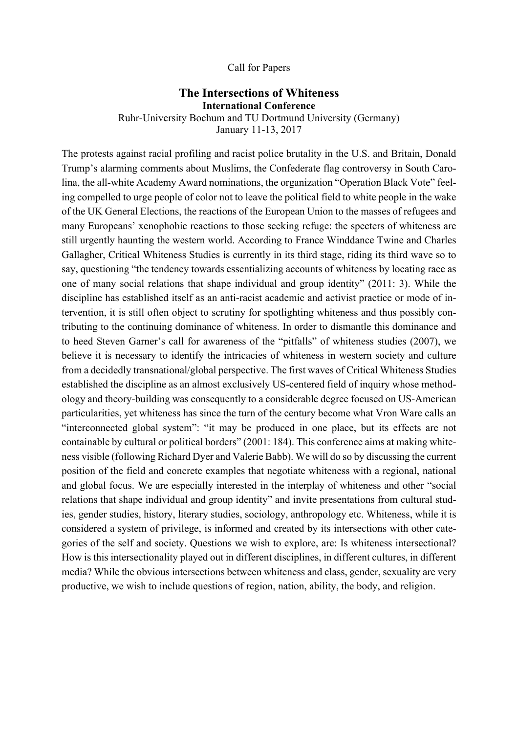## Call for Papers

## **The Intersections of Whiteness International Conference**

Ruhr-University Bochum and TU Dortmund University (Germany)

January 11-13, 2017

The protests against racial profiling and racist police brutality in the U.S. and Britain, Donald Trump's alarming comments about Muslims, the Confederate flag controversy in South Carolina, the all-white Academy Award nominations, the organization "Operation Black Vote" feeling compelled to urge people of color not to leave the political field to white people in the wake of the UK General Elections, the reactions of the European Union to the masses of refugees and many Europeans' xenophobic reactions to those seeking refuge: the specters of whiteness are still urgently haunting the western world. According to France Winddance Twine and Charles Gallagher, Critical Whiteness Studies is currently in its third stage, riding its third wave so to say, questioning "the tendency towards essentializing accounts of whiteness by locating race as one of many social relations that shape individual and group identity" (2011: 3). While the discipline has established itself as an anti-racist academic and activist practice or mode of intervention, it is still often object to scrutiny for spotlighting whiteness and thus possibly contributing to the continuing dominance of whiteness. In order to dismantle this dominance and to heed Steven Garner's call for awareness of the "pitfalls" of whiteness studies (2007), we believe it is necessary to identify the intricacies of whiteness in western society and culture from a decidedly transnational/global perspective. The first waves of Critical Whiteness Studies established the discipline as an almost exclusively US-centered field of inquiry whose methodology and theory-building was consequently to a considerable degree focused on US-American particularities, yet whiteness has since the turn of the century become what Vron Ware calls an "interconnected global system": "it may be produced in one place, but its effects are not containable by cultural or political borders" (2001: 184). This conference aims at making whiteness visible (following Richard Dyer and Valerie Babb). We will do so by discussing the current position of the field and concrete examples that negotiate whiteness with a regional, national and global focus. We are especially interested in the interplay of whiteness and other "social relations that shape individual and group identity" and invite presentations from cultural studies, gender studies, history, literary studies, sociology, anthropology etc. Whiteness, while it is considered a system of privilege, is informed and created by its intersections with other categories of the self and society. Questions we wish to explore, are: Is whiteness intersectional? How is this intersectionality played out in different disciplines, in different cultures, in different media? While the obvious intersections between whiteness and class, gender, sexuality are very productive, we wish to include questions of region, nation, ability, the body, and religion.